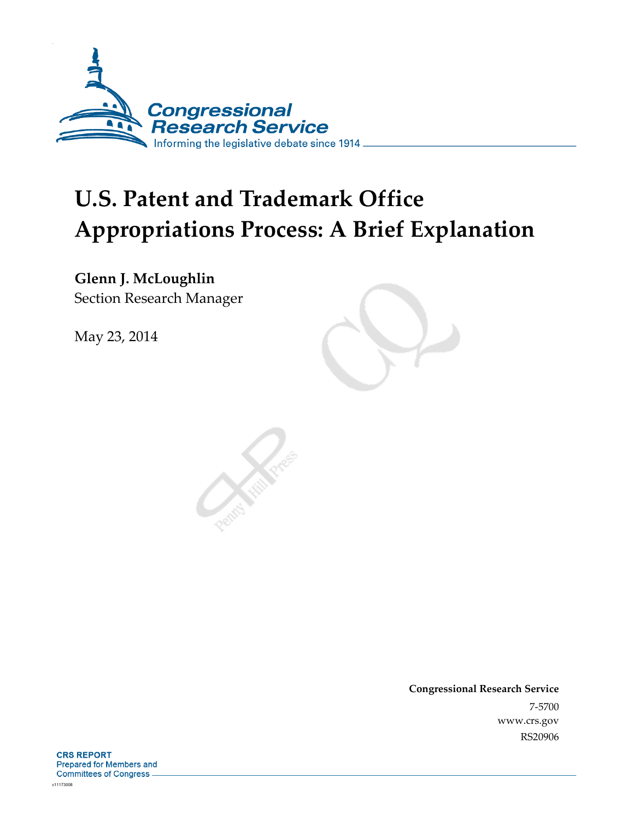

# **U.S. Patent and Trademark Office Appropriations Process: A Brief Explanation**

### **Glenn J. McLoughlin**

Section Research Manager

May 23, 2014

**Congressional Research Service**  7-5700 www.crs.gov RS20906

**CRS REPORT** Prepared for Members and **Committees of Congress.** 

c11173008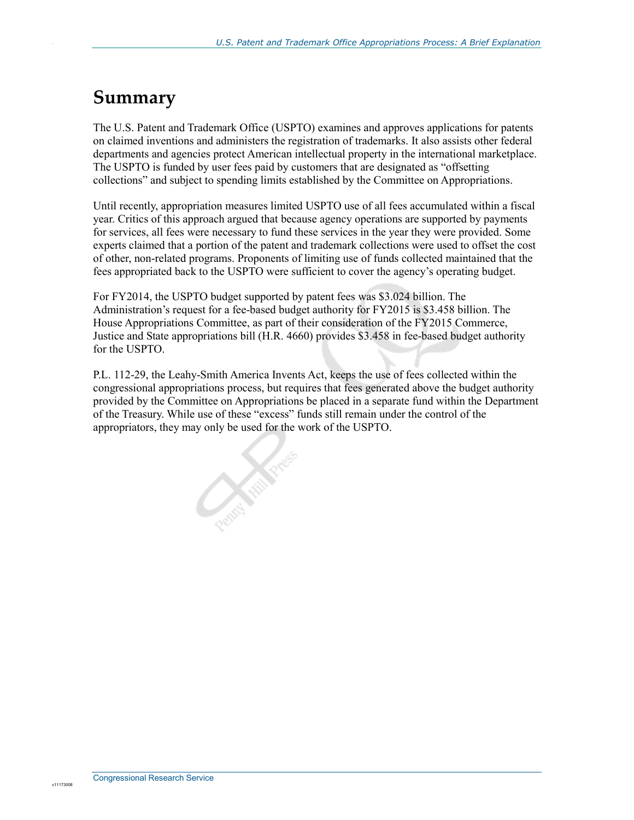### **Summary**

.

The U.S. Patent and Trademark Office (USPTO) examines and approves applications for patents on claimed inventions and administers the registration of trademarks. It also assists other federal departments and agencies protect American intellectual property in the international marketplace. The USPTO is funded by user fees paid by customers that are designated as "offsetting collections" and subject to spending limits established by the Committee on Appropriations.

Until recently, appropriation measures limited USPTO use of all fees accumulated within a fiscal year. Critics of this approach argued that because agency operations are supported by payments for services, all fees were necessary to fund these services in the year they were provided. Some experts claimed that a portion of the patent and trademark collections were used to offset the cost of other, non-related programs. Proponents of limiting use of funds collected maintained that the fees appropriated back to the USPTO were sufficient to cover the agency's operating budget.

For FY2014, the USPTO budget supported by patent fees was \$3.024 billion. The Administration's request for a fee-based budget authority for FY2015 is \$3.458 billion. The House Appropriations Committee, as part of their consideration of the FY2015 Commerce, Justice and State appropriations bill (H.R. 4660) provides \$3.458 in fee-based budget authority for the USPTO.

P.L. 112-29, the Leahy-Smith America Invents Act, keeps the use of fees collected within the congressional appropriations process, but requires that fees generated above the budget authority provided by the Committee on Appropriations be placed in a separate fund within the Department of the Treasury. While use of these "excess" funds still remain under the control of the appropriators, they may only be used for the work of the USPTO.

**Control Report**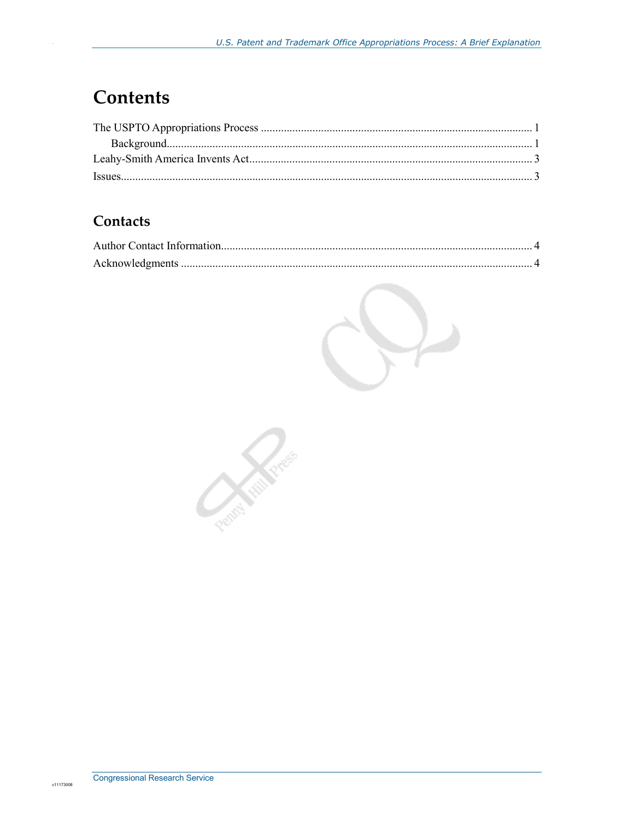### **Contents**

#### Contacts

**Controllection**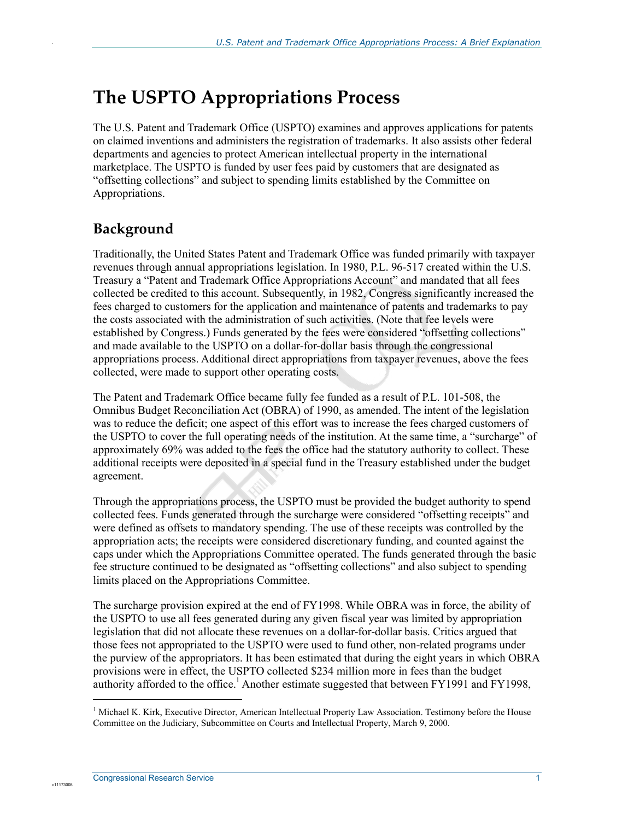## **The USPTO Appropriations Process**

The U.S. Patent and Trademark Office (USPTO) examines and approves applications for patents on claimed inventions and administers the registration of trademarks. It also assists other federal departments and agencies to protect American intellectual property in the international marketplace. The USPTO is funded by user fees paid by customers that are designated as "offsetting collections" and subject to spending limits established by the Committee on Appropriations.

#### **Background**

.

Traditionally, the United States Patent and Trademark Office was funded primarily with taxpayer revenues through annual appropriations legislation. In 1980, P.L. 96-517 created within the U.S. Treasury a "Patent and Trademark Office Appropriations Account" and mandated that all fees collected be credited to this account. Subsequently, in 1982, Congress significantly increased the fees charged to customers for the application and maintenance of patents and trademarks to pay the costs associated with the administration of such activities. (Note that fee levels were established by Congress.) Funds generated by the fees were considered "offsetting collections" and made available to the USPTO on a dollar-for-dollar basis through the congressional appropriations process. Additional direct appropriations from taxpayer revenues, above the fees collected, were made to support other operating costs.

The Patent and Trademark Office became fully fee funded as a result of P.L. 101-508, the Omnibus Budget Reconciliation Act (OBRA) of 1990, as amended. The intent of the legislation was to reduce the deficit; one aspect of this effort was to increase the fees charged customers of the USPTO to cover the full operating needs of the institution. At the same time, a "surcharge" of approximately 69% was added to the fees the office had the statutory authority to collect. These additional receipts were deposited in a special fund in the Treasury established under the budget agreement.

Through the appropriations process, the USPTO must be provided the budget authority to spend collected fees. Funds generated through the surcharge were considered "offsetting receipts" and were defined as offsets to mandatory spending. The use of these receipts was controlled by the appropriation acts; the receipts were considered discretionary funding, and counted against the caps under which the Appropriations Committee operated. The funds generated through the basic fee structure continued to be designated as "offsetting collections" and also subject to spending limits placed on the Appropriations Committee.

The surcharge provision expired at the end of FY1998. While OBRA was in force, the ability of the USPTO to use all fees generated during any given fiscal year was limited by appropriation legislation that did not allocate these revenues on a dollar-for-dollar basis. Critics argued that those fees not appropriated to the USPTO were used to fund other, non-related programs under the purview of the appropriators. It has been estimated that during the eight years in which OBRA provisions were in effect, the USPTO collected \$234 million more in fees than the budget authority afforded to the office.<sup>1</sup> Another estimate suggested that between FY1991 and FY1998,

1

c1117300

<sup>&</sup>lt;sup>1</sup> Michael K. Kirk, Executive Director, American Intellectual Property Law Association. Testimony before the House Committee on the Judiciary, Subcommittee on Courts and Intellectual Property, March 9, 2000.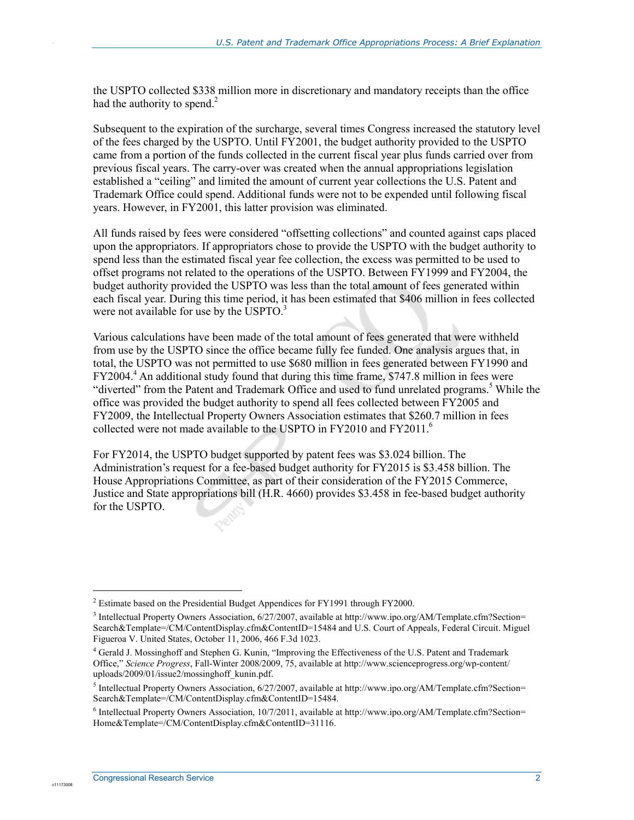the USPTO collected \$338 million more in discretionary and mandatory receipts than the office had the authority to spend.<sup>2</sup>

Subsequent to the expiration of the surcharge, several times Congress increased the statutory level of the fees charged by the USPTO. Until FY2001, the budget authority provided to the USPTO came from a portion of the funds collected in the current fiscal year plus funds carried over from previous fiscal years. The carry-over was created when the annual appropriations legislation established a "ceiling" and limited the amount of current year collections the U.S. Patent and Trademark Office could spend. Additional funds were not to be expended until following fiscal years. However, in FY2001, this latter provision was eliminated.

All funds raised by fees were considered "offsetting collections" and counted against caps placed upon the appropriators. If appropriators chose to provide the USPTO with the budget authority to spend less than the estimated fiscal year fee collection, the excess was permitted to be used to offset programs not related to the operations of the USPTO. Between FY1999 and FY2004, the budget authority provided the USPTO was less than the total amount of fees generated within each fiscal year. During this time period, it has been estimated that \$406 million in fees collected were not available for use by the USPTO.<sup>3</sup>

Various calculations have been made of the total amount of fees generated that were withheld from use by the USPTO since the office became fully fee funded. One analysis argues that, in total, the USPTO was not permitted to use \$680 million in fees generated between FY1990 and FY2004.<sup>4</sup> An additional study found that during this time frame, \$747.8 million in fees were "diverted" from the Patent and Trademark Office and used to fund unrelated programs.<sup>5</sup> While the office was provided the budget authority to spend all fees collected between FY2005 and FY2009, the Intellectual Property Owners Association estimates that \$260.7 million in fees collected were not made available to the USPTO in FY2010 and FY2011.<sup>6</sup>

For FY2014, the USPTO budget supported by patent fees was \$3.024 billion. The Administration's request for a fee-based budget authority for FY2015 is \$3.458 billion. The House Appropriations Committee, as part of their consideration of the FY2015 Commerce, Justice and State appropriations bill (H.R. 4660) provides \$3.458 in fee-based budget authority for the USPTO.

 $\overline{a}$ 

.

<sup>&</sup>lt;sup>2</sup> Estimate based on the Presidential Budget Appendices for FY1991 through FY2000.

<sup>&</sup>lt;sup>3</sup> Intellectual Property Owners Association, 6/27/2007, available at http://www.ipo.org/AM/Template.cfm?Section= Search&Template=/CM/ContentDisplay.cfm&ContentID=15484 and U.S. Court of Appeals, Federal Circuit. Miguel Figueroa V. United States, October 11, 2006, 466 F.3d 1023.

<sup>4</sup> Gerald J. Mossinghoff and Stephen G. Kunin, "Improving the Effectiveness of the U.S. Patent and Trademark Office," *Science Progress*, Fall-Winter 2008/2009, 75, available at http://www.scienceprogress.org/wp-content/ uploads/2009/01/issue2/mossinghoff\_kunin.pdf.

<sup>&</sup>lt;sup>5</sup> Intellectual Property Owners Association, 6/27/2007, available at http://www.ipo.org/AM/Template.cfm?Section= Search&Template=/CM/ContentDisplay.cfm&ContentID=15484.

<sup>6</sup> Intellectual Property Owners Association, 10/7/2011, available at http://www.ipo.org/AM/Template.cfm?Section= Home&Template=/CM/ContentDisplay.cfm&ContentID=31116.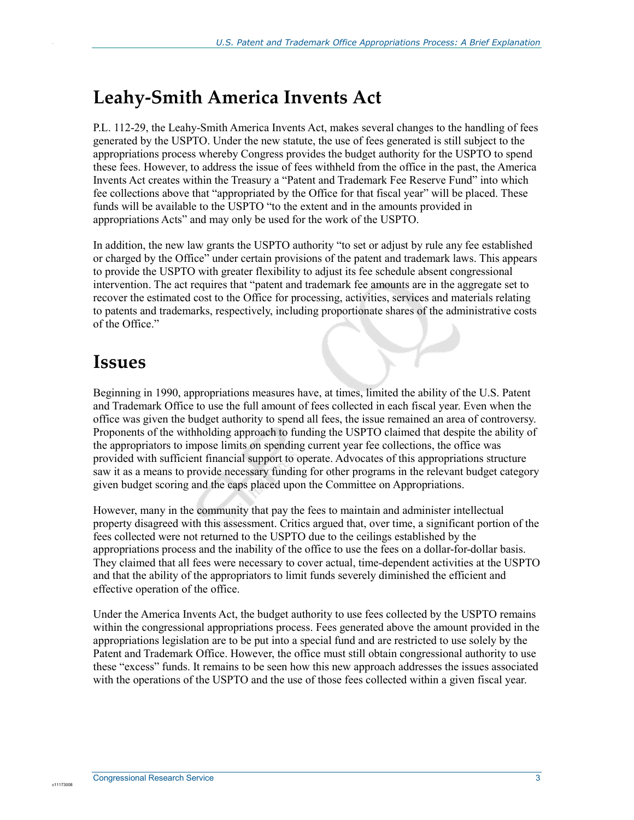### **Leahy-Smith America Invents Act**

P.L. 112-29, the Leahy-Smith America Invents Act, makes several changes to the handling of fees generated by the USPTO. Under the new statute, the use of fees generated is still subject to the appropriations process whereby Congress provides the budget authority for the USPTO to spend these fees. However, to address the issue of fees withheld from the office in the past, the America Invents Act creates within the Treasury a "Patent and Trademark Fee Reserve Fund" into which fee collections above that "appropriated by the Office for that fiscal year" will be placed. These funds will be available to the USPTO "to the extent and in the amounts provided in appropriations Acts" and may only be used for the work of the USPTO.

In addition, the new law grants the USPTO authority "to set or adjust by rule any fee established or charged by the Office" under certain provisions of the patent and trademark laws. This appears to provide the USPTO with greater flexibility to adjust its fee schedule absent congressional intervention. The act requires that "patent and trademark fee amounts are in the aggregate set to recover the estimated cost to the Office for processing, activities, services and materials relating to patents and trademarks, respectively, including proportionate shares of the administrative costs of the Office."

### **Issues**

.

Beginning in 1990, appropriations measures have, at times, limited the ability of the U.S. Patent and Trademark Office to use the full amount of fees collected in each fiscal year. Even when the office was given the budget authority to spend all fees, the issue remained an area of controversy. Proponents of the withholding approach to funding the USPTO claimed that despite the ability of the appropriators to impose limits on spending current year fee collections, the office was provided with sufficient financial support to operate. Advocates of this appropriations structure saw it as a means to provide necessary funding for other programs in the relevant budget category given budget scoring and the caps placed upon the Committee on Appropriations.

However, many in the community that pay the fees to maintain and administer intellectual property disagreed with this assessment. Critics argued that, over time, a significant portion of the fees collected were not returned to the USPTO due to the ceilings established by the appropriations process and the inability of the office to use the fees on a dollar-for-dollar basis. They claimed that all fees were necessary to cover actual, time-dependent activities at the USPTO and that the ability of the appropriators to limit funds severely diminished the efficient and effective operation of the office.

Under the America Invents Act, the budget authority to use fees collected by the USPTO remains within the congressional appropriations process. Fees generated above the amount provided in the appropriations legislation are to be put into a special fund and are restricted to use solely by the Patent and Trademark Office. However, the office must still obtain congressional authority to use these "excess" funds. It remains to be seen how this new approach addresses the issues associated with the operations of the USPTO and the use of those fees collected within a given fiscal year.

c11173008